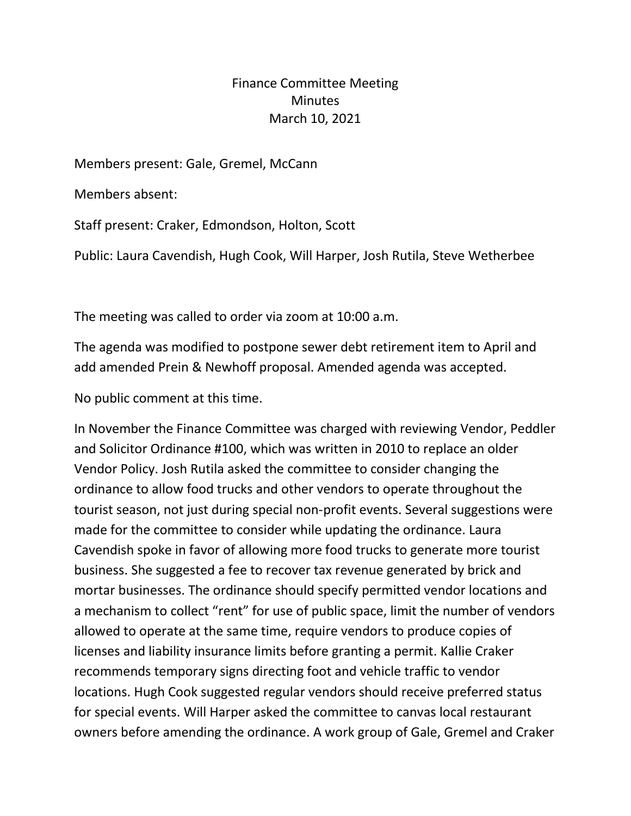## Finance Committee Meeting **Minutes** March 10, 2021

Members present: Gale, Gremel, McCann

Members absent:

Staff present: Craker, Edmondson, Holton, Scott

Public: Laura Cavendish, Hugh Cook, Will Harper, Josh Rutila, Steve Wetherbee

The meeting was called to order via zoom at 10:00 a.m.

The agenda was modified to postpone sewer debt retirement item to April and add amended Prein & Newhoff proposal. Amended agenda was accepted.

No public comment at this time.

In November the Finance Committee was charged with reviewing Vendor, Peddler and Solicitor Ordinance #100, which was written in 2010 to replace an older Vendor Policy. Josh Rutila asked the committee to consider changing the ordinance to allow food trucks and other vendors to operate throughout the tourist season, not just during special non-profit events. Several suggestions were made for the committee to consider while updating the ordinance. Laura Cavendish spoke in favor of allowing more food trucks to generate more tourist business. She suggested a fee to recover tax revenue generated by brick and mortar businesses. The ordinance should specify permitted vendor locations and a mechanism to collect "rent" for use of public space, limit the number of vendors allowed to operate at the same time, require vendors to produce copies of licenses and liability insurance limits before granting a permit. Kallie Craker recommends temporary signs directing foot and vehicle traffic to vendor locations. Hugh Cook suggested regular vendors should receive preferred status for special events. Will Harper asked the committee to canvas local restaurant owners before amending the ordinance. A work group of Gale, Gremel and Craker